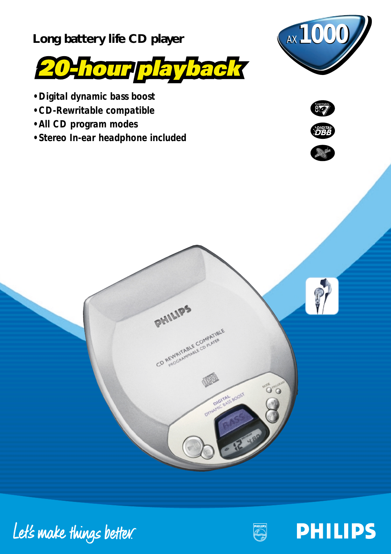

- Long battery life CD player **AX** 1000
- *Digital dynamic bass boost*
- *CD-Rewritable compatible*
- *All CD program modes*
- *Stereo In-ear headphone included*